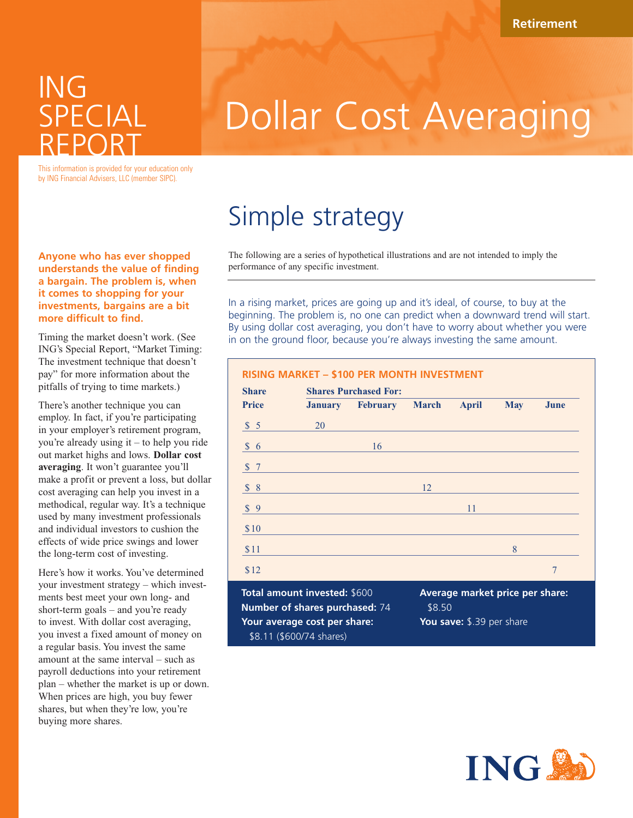### ING SPECIAL REPORT

# Dollar Cost Averaging

This information is provided for your education only by ING Financial Advisers, LLC (member SIPC).

#### **Anyone who has ever shopped understands the value of finding a bargain. The problem is, when it comes to shopping for your investments, bargains are a bit more difficult to find.**

Timing the market doesn't work. (See ING's Special Report, "Market Timing: The investment technique that doesn't pay" for more information about the pitfalls of trying to time markets.)

There's another technique you can employ. In fact, if you're participating in your employer's retirement program, you're already using it – to help you ride out market highs and lows. **Dollar cost averaging**. It won't guarantee you'll make a profit or prevent a loss, but dollar cost averaging can help you invest in a methodical, regular way. It's a technique used by many investment professionals and individual investors to cushion the effects of wide price swings and lower the long-term cost of investing.

Here's how it works. You've determined your investment strategy – which investments best meet your own long- and short-term goals – and you're ready to invest. With dollar cost averaging, you invest a fixed amount of money on a regular basis. You invest the same amount at the same interval – such as payroll deductions into your retirement plan – whether the market is up or down. When prices are high, you buy fewer shares, but when they're low, you're buying more shares.

## Simple strategy

**Your average cost per share:**  \$8.11 (\$600/74 shares)

The following are a series of hypothetical illustrations and are not intended to imply the performance of any specific investment.

In a rising market, prices are going up and it's ideal, of course, to buy at the beginning. The problem is, no one can predict when a downward trend will start. By using dollar cost averaging, you don't have to worry about whether you were in on the ground floor, because you're always investing the same amount.

### **RISING MARKET – \$100 PER MONTH INVESTMENT**

| <b>Share</b>                                                   | <b>Shares Purchased For:</b> |                 |                                           |              |            |      |  |  |  |
|----------------------------------------------------------------|------------------------------|-----------------|-------------------------------------------|--------------|------------|------|--|--|--|
| <b>Price</b>                                                   | <b>January</b>               | <b>February</b> | <b>March</b>                              | <b>April</b> | <b>May</b> | June |  |  |  |
| \$5                                                            | 20                           |                 |                                           |              |            |      |  |  |  |
| $\frac{1}{2}$ 6                                                |                              | 16              |                                           |              |            |      |  |  |  |
| \$7                                                            |                              |                 |                                           |              |            |      |  |  |  |
| \$8                                                            |                              |                 | 12                                        |              |            |      |  |  |  |
| \$9                                                            |                              |                 |                                           | 11           |            |      |  |  |  |
| \$10                                                           |                              |                 |                                           |              |            |      |  |  |  |
| \$11                                                           |                              |                 |                                           |              | 8          |      |  |  |  |
| \$12                                                           |                              |                 |                                           |              |            | 7    |  |  |  |
| Total amount invested: \$600<br>Number of shares purchased: 74 |                              |                 | Average market price per share:<br>\$8.50 |              |            |      |  |  |  |

**You save:** \$.39 per share

**INGS**